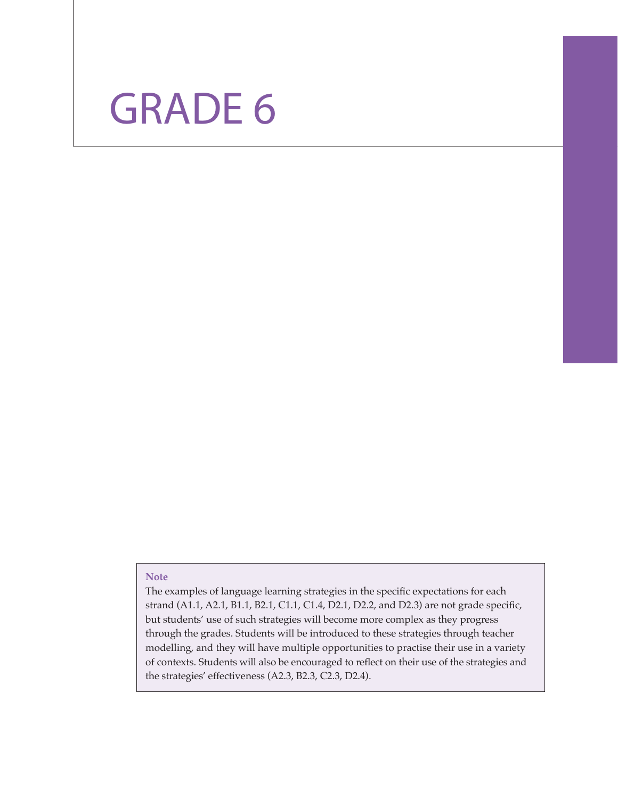

### **Note**

The examples of language learning strategies in the specific expectations for each strand (A1.1, A2.1, B1.1, B2.1, C1.1, C1.4, D2.1, D2.2, and D2.3) are not grade specific, but students' use of such strategies will become more complex as they progress through the grades. Students will be introduced to these strategies through teacher modelling, and they will have multiple opportunities to practise their use in a variety of contexts. Students will also be encouraged to reflect on their use of the strategies and the strategies' effectiveness (A2.3, B2.3, C2.3, D2.4).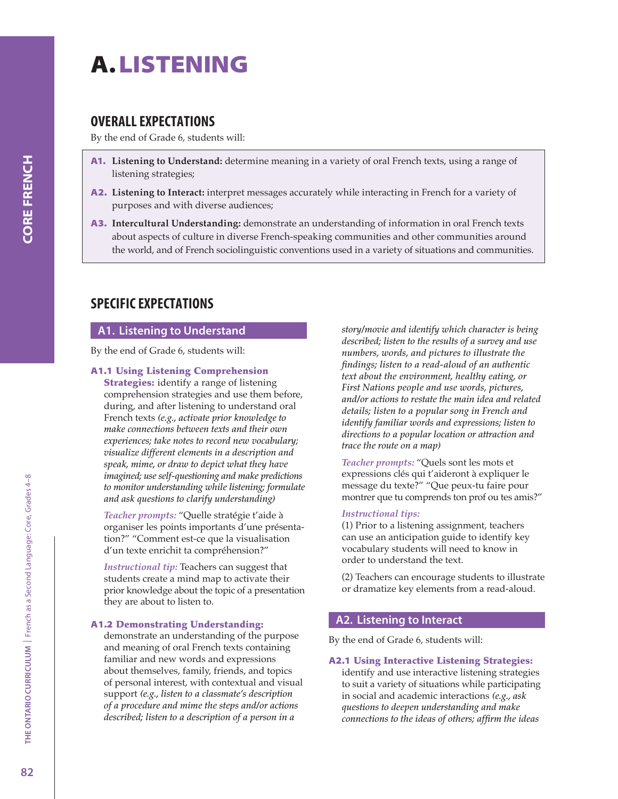# A. LISTENING

# OVERALL EXPECTATIONS

By the end of Grade 6, students will:

- A1. **Listening to Understand:** determine meaning in a variety of oral French texts, using a range of listening strategies;
- A2. **Listening to Interact:** interpret messages accurately while interacting in French for a variety of purposes and with diverse audiences;
- A3. **Intercultural Understanding:** demonstrate an understanding of information in oral French texts about aspects of culture in diverse French-speaking communities and other communities around the world, and of French sociolinguistic conventions used in a variety of situations and communities.

# SPECIFIC EXPECTATIONS

## A1. Listening to Understand

By the end of Grade 6, students will:

### A1.1 Using Listening Comprehension

**Strategies:** identify a range of listening comprehension strategies and use them before, during, and after listening to understand oral French texts *(e.g., activate prior knowledge to make connections between texts and their own experiences; take notes to record new vocabulary; visualize different elements in a description and speak, mime, or draw to depict what they have imagined; use self-questioning and make predictions to monitor understanding while listening; formulate and ask questions to clarify understanding)*

*Teacher prompts:* "Quelle stratégie t'aide à organiser les points importants d'une présentation?" "Comment est-ce que la visualisation d'un texte enrichit ta compréhension?"

*Instructional tip:* Teachers can suggest that students create a mind map to activate their prior knowledge about the topic of a presentation they are about to listen to.

### A1.2 Demonstrating Understanding:

demonstrate an understanding of the purpose and meaning of oral French texts containing familiar and new words and expressions about themselves, family, friends, and topics of personal interest, with contextual and visual support *(e.g., listen to a classmate's description of a procedure and mime the steps and/or actions described; listen to a description of a person in a* 

*story/movie and identify which character is being described; listen to the results of a survey and use numbers, words, and pictures to illustrate the findings; listen to a read-aloud of an authentic text about the environment, healthy eating, or First Nations people and use words, pictures, and/or actions to restate the main idea and related details; listen to a popular song in French and identify familiar words and expressions; listen to directions to a popular location or attraction and trace the route on a map)*

*Teacher prompts:* "Quels sont les mots et expressions clés qui t'aideront à expliquer le message du texte?" "Que peux-tu faire pour montrer que tu comprends ton prof ou tes amis?"

### *Instructional tips:*

(1) Prior to a listening assignment, teachers can use an anticipation guide to identify key vocabulary students will need to know in order to understand the text.

(2) Teachers can encourage students to illustrate or dramatize key elements from a read-aloud.

### A2. Listening to Interact

By the end of Grade 6, students will:

### A2.1 Using Interactive Listening Strategies:

identify and use interactive listening strategies to suit a variety of situations while participating in social and academic interactions *(e.g., ask questions to deepen understanding and make connections to the ideas of others; affirm the ideas*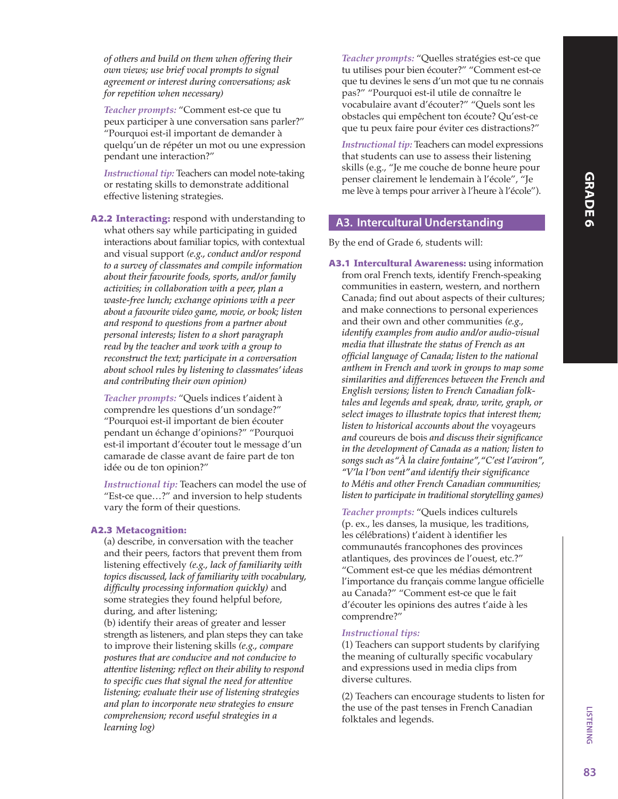*of others and build on them when offering their own views; use brief vocal prompts to signal agreement or interest during conversations; ask for repetition when necessary)*

*Teacher prompts:* "Comment est-ce que tu peux participer à une conversation sans parler?" "Pourquoi est-il important de demander à quelqu'un de répéter un mot ou une expression pendant une interaction?"

*Instructional tip:* Teachers can model note-taking or restating skills to demonstrate additional effective listening strategies.

A2.2 Interacting: respond with understanding to what others say while participating in guided interactions about familiar topics, with contextual and visual support *(e.g., conduct and/or respond to a survey of classmates and compile information about their favourite foods, sports, and/or family activities; in collaboration with a peer, plan a waste-free lunch; exchange opinions with a peer about a favourite video game, movie, or book; listen and respond to questions from a partner about personal interests; listen to a short paragraph read by the teacher and work with a group to reconstruct the text; participate in a conversation about school rules by listening to classmates' ideas and contributing their own opinion)*

*Teacher prompts:* "Quels indices t'aident à comprendre les questions d'un sondage?" "Pourquoi est-il important de bien écouter pendant un échange d'opinions?" "Pourquoi est-il important d'écouter tout le message d'un camarade de classe avant de faire part de ton idée ou de ton opinion?"

*Instructional tip:* Teachers can model the use of "Est-ce que…?" and inversion to help students vary the form of their questions.

### A2.3 Metacognition:

(a) describe, in conversation with the teacher and their peers, factors that prevent them from listening effectively *(e.g., lack of familiarity with topics discussed, lack of familiarity with vocabulary, difficulty processing information quickly)* and some strategies they found helpful before, during, and after listening; (b) identify their areas of greater and lesser strength as listeners, and plan steps they can take to improve their listening skills *(e.g., compare postures that are conducive and not conducive to attentive listening; reflect on their ability to respond to specific cues that signal the need for attentive listening; evaluate their use of listening strategies and plan to incorporate new strategies to ensure comprehension; record useful strategies in a learning log)*

*Teacher prompts:* "Quelles stratégies est-ce que tu utilises pour bien écouter?" "Comment est-ce que tu devines le sens d'un mot que tu ne connais pas?" "Pourquoi est-il utile de connaître le vocabulaire avant d'écouter?" "Quels sont les obstacles qui empêchent ton écoute? Qu'est-ce que tu peux faire pour éviter ces distractions?"

*Instructional tip:* Teachers can model expressions that students can use to assess their listening skills (e.g., "Je me couche de bonne heure pour penser clairement le lendemain à l'école", "Je me lève à temps pour arriver à l'heure à l'école").

### A3. Intercultural Understanding

By the end of Grade 6, students will:

A3.1 Intercultural Awareness: using information from oral French texts, identify French-speaking communities in eastern, western, and northern Canada; find out about aspects of their cultures; and make connections to personal experiences and their own and other communities *(e.g., identify examples from audio and/or audio-visual media that illustrate the status of French as an official language of Canada; listen to the national anthem in French and work in groups to map some similarities and differences between the French and English versions; listen to French Canadian folktales and legends and speak, draw, write, graph, or select images to illustrate topics that interest them; listen to historical accounts about the* voyageurs *and* coureurs de bois *and discuss their significance in the development of Canada as a nation; listen to songs such as "À la claire fontaine", "C'est l'aviron", "V'la l'bon vent" and identify their significance to Métis and other French Canadian communities; listen to participate in traditional storytelling games)*

*Teacher prompts:* "Quels indices culturels (p. ex., les danses, la musique, les traditions, les célébrations) t'aident à identifier les communautés francophones des provinces atlantiques, des provinces de l'ouest, etc.?" "Comment est-ce que les médias démontrent l'importance du français comme langue officielle au Canada?" "Comment est-ce que le fait d'écouter les opinions des autres t'aide à les comprendre?"

### *Instructional tips:*

(1) Teachers can support students by clarifying the meaning of culturally specific vocabulary and expressions used in media clips from diverse cultures.

(2) Teachers can encourage students to listen for the use of the past tenses in French Canadian folktales and legends.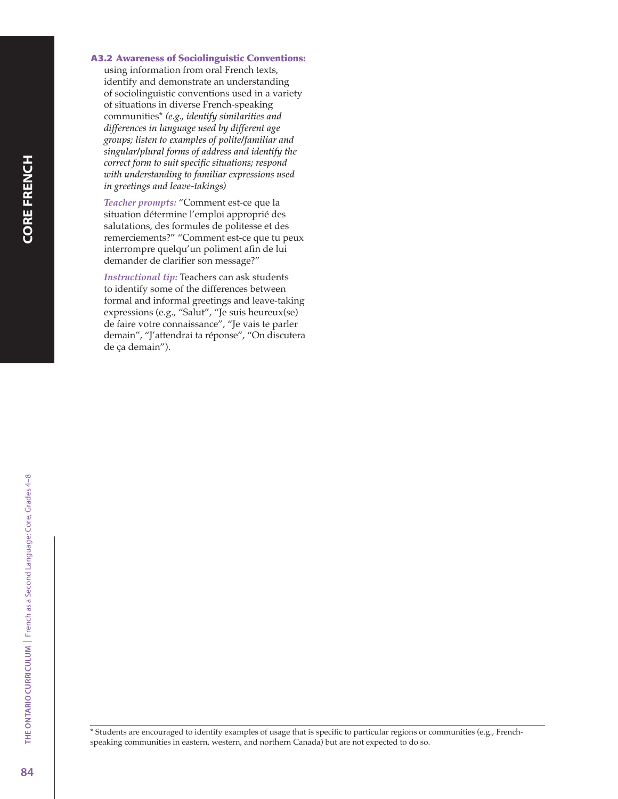### A3.2 Awareness of Sociolinguistic Conventions:

using information from oral French texts, identify and demonstrate an understanding of sociolinguistic conventions used in a variety of situations in diverse French-speaking communities\* *(e.g., identify similarities and differences in language used by different age groups; listen to examples of polite/familiar and singular/plural forms of address and identify the correct form to suit specific situations; respond with understanding to familiar expressions used in greetings and leave-takings)*

*Teacher prompts:* "Comment est-ce que la situation détermine l'emploi approprié des salutations, des formules de politesse et des remerciements?" "Comment est-ce que tu peux interrompre quelqu'un poliment afin de lui demander de clarifier son message?"

*Instructional tip:* Teachers can ask students to identify some of the differences between formal and informal greetings and leave-taking expressions (e.g., "Salut", "Je suis heureux(se) de faire votre connaissance", "Je vais te parler demain", "J'attendrai ta réponse", "On discutera de ça demain").

\* Students are encouraged to identify examples of usage that is specific to particular regions or communities (e.g., Frenchspeaking communities in eastern, western, and northern Canada) but are not expected to do so.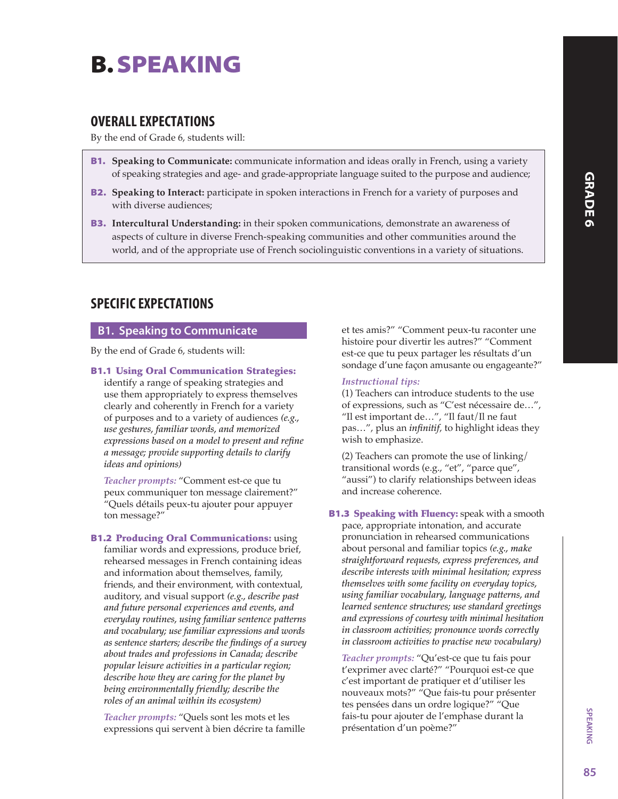# B. SPEAKING

# OVERALL EXPECTATIONS

By the end of Grade 6, students will:

- B1. **Speaking to Communicate:** communicate information and ideas orally in French, using a variety of speaking strategies and age- and grade-appropriate language suited to the purpose and audience;
- **B2.** Speaking to Interact: participate in spoken interactions in French for a variety of purposes and with diverse audiences;
- B3. **Intercultural Understanding:** in their spoken communications, demonstrate an awareness of aspects of culture in diverse French-speaking communities and other communities around the world, and of the appropriate use of French sociolinguistic conventions in a variety of situations.

# SPECIFIC EXPECTATIONS

## B1. Speaking to Communicate

By the end of Grade 6, students will:

B1.1 Using Oral Communication Strategies:

identify a range of speaking strategies and use them appropriately to express themselves clearly and coherently in French for a variety of purposes and to a variety of audiences *(e.g., use gestures, familiar words, and memorized expressions based on a model to present and refine a message; provide supporting details to clarify ideas and opinions)*

*Teacher prompts:* "Comment est-ce que tu peux communiquer ton message clairement?" "Quels détails peux-tu ajouter pour appuyer ton message?"

**B1.2 Producing Oral Communications: using** familiar words and expressions, produce brief, rehearsed messages in French containing ideas and information about themselves, family, friends, and their environment, with contextual, auditory, and visual support *(e.g., describe past and future personal experiences and events, and everyday routines, using familiar sentence patterns and vocabulary; use familiar expressions and words as sentence starters; describe the findings of a survey about trades and professions in Canada; describe popular leisure activities in a particular region; describe how they are caring for the planet by being environmentally friendly; describe the roles of an animal within its ecosystem)*

*Teacher prompts:* "Quels sont les mots et les expressions qui servent à bien décrire ta famille et tes amis?" "Comment peux-tu raconter une histoire pour divertir les autres?" "Comment est-ce que tu peux partager les résultats d'un sondage d'une façon amusante ou engageante?"

### *Instructional tips:*

(1) Teachers can introduce students to the use of expressions, such as "C'est nécessaire de…", "Il est important de…", "Il faut/Il ne faut pas…", plus an *infinitif*, to highlight ideas they wish to emphasize.

(2) Teachers can promote the use of linking/ transitional words (e.g., "et", "parce que", "aussi") to clarify relationships between ideas and increase coherence.

**B1.3 Speaking with Fluency:** speak with a smooth pace, appropriate intonation, and accurate pronunciation in rehearsed communications about personal and familiar topics *(e.g., make straightforward requests, express preferences, and describe interests with minimal hesitation; express themselves with some facility on everyday topics, using familiar vocabulary, language patterns, and learned sentence structures; use standard greetings and expressions of courtesy with minimal hesitation in classroom activities; pronounce words correctly in classroom activities to practise new vocabulary)*

*Teacher prompts:* "Qu'est-ce que tu fais pour t'exprimer avec clarté?" "Pourquoi est-ce que c'est important de pratiquer et d'utiliser les nouveaux mots?" "Que fais-tu pour présenter tes pensées dans un ordre logique?" "Que fais-tu pour ajouter de l'emphase durant la présentation d'un poème?"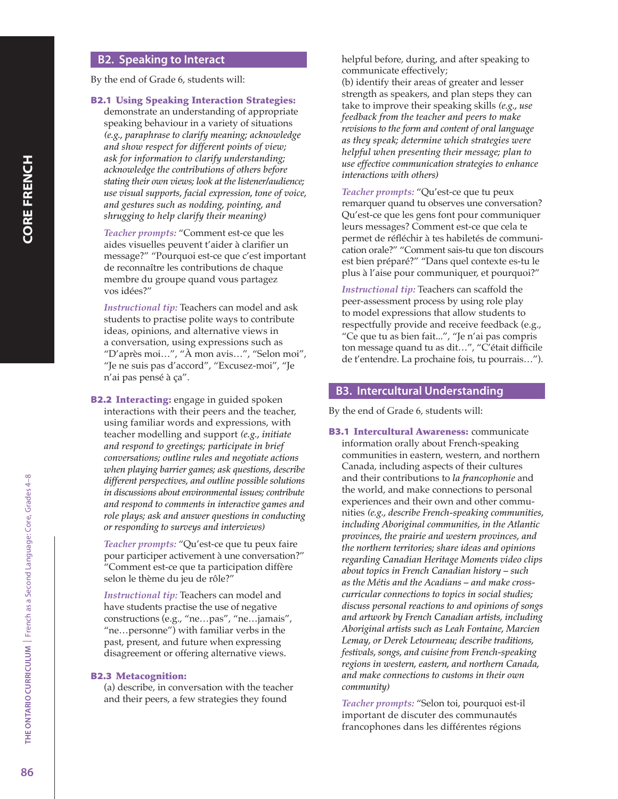### B2. Speaking to Interact

By the end of Grade 6, students will:

### B2.1 Using Speaking Interaction Strategies:

demonstrate an understanding of appropriate speaking behaviour in a variety of situations *(e.g., paraphrase to clarify meaning; acknowledge and show respect for different points of view; ask for information to clarify understanding; acknowledge the contributions of others before stating their own views; look at the listener/audience; use visual supports, facial expression, tone of voice, and gestures such as nodding, pointing, and shrugging to help clarify their meaning)*

*Teacher prompts:* "Comment est-ce que les aides visuelles peuvent t'aider à clarifier un message?" "Pourquoi est-ce que c'est important de reconnaître les contributions de chaque membre du groupe quand vous partagez vos idées?"

*Instructional tip:* Teachers can model and ask students to practise polite ways to contribute ideas, opinions, and alternative views in a conversation, using expressions such as "D'après moi…", "À mon avis…", "Selon moi", "Je ne suis pas d'accord", "Excusez-moi", "Je n'ai pas pensé à ça".

**B2.2 Interacting:** engage in guided spoken interactions with their peers and the teacher, using familiar words and expressions, with teacher modelling and support *(e.g., initiate and respond to greetings; participate in brief conversations; outline rules and negotiate actions when playing barrier games; ask questions, describe different perspectives, and outline possible solutions in discussions about environmental issues; contribute and respond to comments in interactive games and role plays; ask and answer questions in conducting or responding to surveys and interviews)*

*Teacher prompts:* "Qu'est-ce que tu peux faire pour participer activement à une conversation?" "Comment est-ce que ta participation diffère selon le thème du jeu de rôle?"

*Instructional tip:* Teachers can model and have students practise the use of negative constructions (e.g., "ne…pas", "ne…jamais", "ne…personne") with familiar verbs in the past, present, and future when expressing disagreement or offering alternative views.

#### B2.3 Metacognition:

(a) describe, in conversation with the teacher and their peers, a few strategies they found

helpful before, during, and after speaking to communicate effectively;

(b) identify their areas of greater and lesser strength as speakers, and plan steps they can take to improve their speaking skills *(e.g., use feedback from the teacher and peers to make revisions to the form and content of oral language as they speak; determine which strategies were helpful when presenting their message; plan to use effective communication strategies to enhance interactions with others)*

*Teacher prompts:* "Qu'est-ce que tu peux remarquer quand tu observes une conversation? Qu'est-ce que les gens font pour communiquer leurs messages? Comment est-ce que cela te permet de réfléchir à tes habiletés de communication orale?" "Comment sais-tu que ton discours est bien préparé?" "Dans quel contexte es-tu le plus à l'aise pour communiquer, et pourquoi?"

*Instructional tip:* Teachers can scaffold the peer-assessment process by using role play to model expressions that allow students to respectfully provide and receive feedback (e.g., "Ce que tu as bien fait...", "Je n'ai pas compris ton message quand tu as dit…", "C'était difficile de t'entendre. La prochaine fois, tu pourrais…").

### B3. Intercultural Understanding

By the end of Grade 6, students will:

**B3.1 Intercultural Awareness: communicate** information orally about French-speaking communities in eastern, western, and northern Canada, including aspects of their cultures and their contributions to *la francophonie* and the world, and make connections to personal experiences and their own and other communities *(e.g., describe French-speaking communities, including Aboriginal communities, in the Atlantic provinces, the prairie and western provinces, and the northern territories; share ideas and opinions regarding Canadian Heritage Moments video clips about topics in French Canadian history – such as the Métis and the Acadians – and make crosscurricular connections to topics in social studies; discuss personal reactions to and opinions of songs and artwork by French Canadian artists, including Aboriginal artists such as Leah Fontaine, Marcien Lemay, or Derek Letourneau; describe traditions, festivals, songs, and cuisine from French-speaking regions in western, eastern, and northern Canada, and make connections to customs in their own community)*

*Teacher prompts:* "Selon toi, pourquoi est-il important de discuter des communautés francophones dans les différentes régions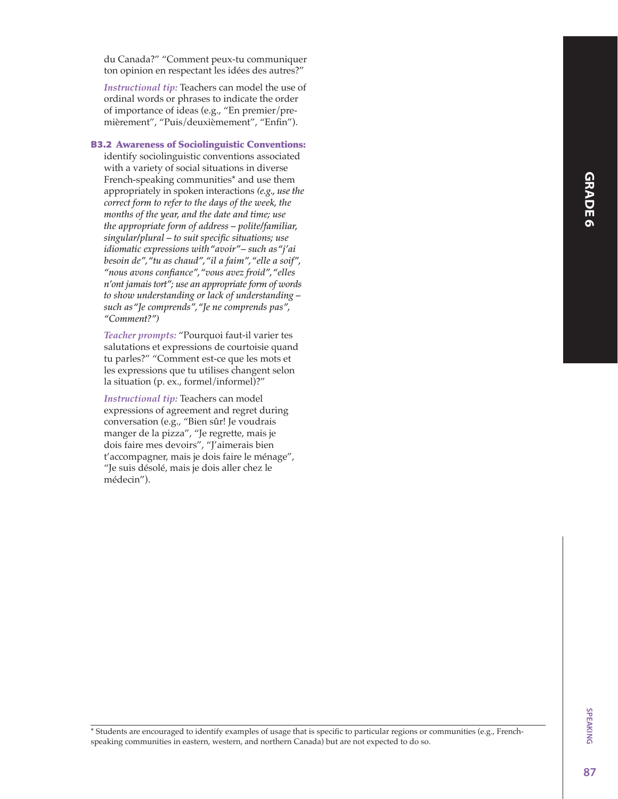du Canada?" "Comment peux-tu communiquer ton opinion en respectant les idées des autres?"

*Instructional tip:* Teachers can model the use of ordinal words or phrases to indicate the order of importance of ideas (e.g., "En premier/premièrement", "Puis/deuxièmement", "Enfin").

#### B3.2 Awareness of Sociolinguistic Conventions:

identify sociolinguistic conventions associated with a variety of social situations in diverse French-speaking communities\* and use them appropriately in spoken interactions *(e.g., use the correct form to refer to the days of the week, the months of the year, and the date and time; use the appropriate form of address – polite/familiar, singular/plural – to suit specific situations; use idiomatic expressions with "avoir" – such as "j'ai besoin de", "tu as chaud", "il a faim", "elle a soif", "nous avons confiance", "vous avez froid", "elles n'ont jamais tort"; use an appropriate form of words to show understanding or lack of understanding – such as "Je comprends", "Je ne comprends pas", "Comment?")*

*Teacher prompts:* "Pourquoi faut-il varier tes salutations et expressions de courtoisie quand tu parles?" "Comment est-ce que les mots et les expressions que tu utilises changent selon la situation (p. ex., formel/informel)?"

*Instructional tip:* Teachers can model expressions of agreement and regret during conversation (e.g., "Bien sûr! Je voudrais manger de la pizza", "Je regrette, mais je dois faire mes devoirs", "J'aimerais bien t'accompagner, mais je dois faire le ménage", "Je suis désolé, mais je dois aller chez le médecin").

\* Students are encouraged to identify examples of usage that is specific to particular regions or communities (e.g., Frenchspeaking communities in eastern, western, and northern Canada) but are not expected to do so.

SPEAKING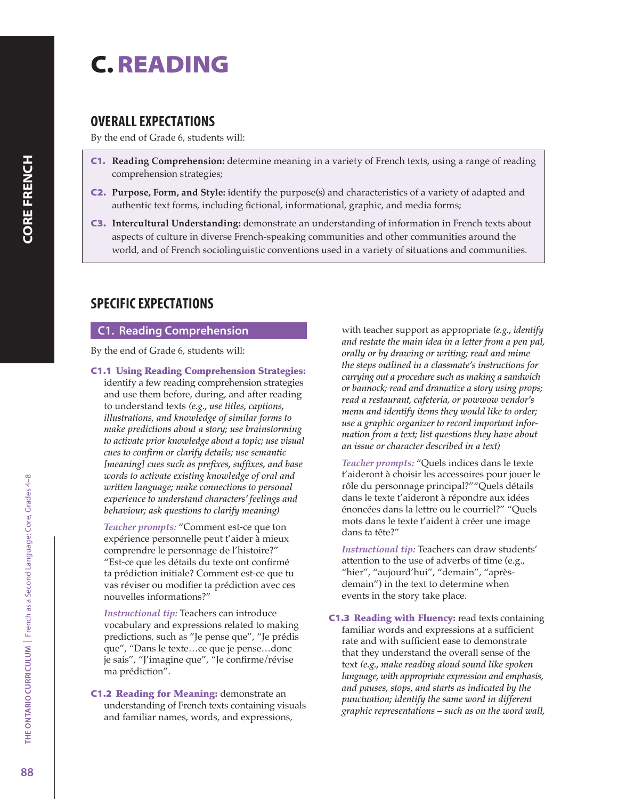# C. READING

# OVERALL EXPECTATIONS

By the end of Grade 6, students will:

- C1. **Reading Comprehension:** determine meaning in a variety of French texts, using a range of reading comprehension strategies;
- C2. **Purpose, Form, and Style:** identify the purpose(s) and characteristics of a variety of adapted and authentic text forms, including fictional, informational, graphic, and media forms;
- C3. **Intercultural Understanding:** demonstrate an understanding of information in French texts about aspects of culture in diverse French-speaking communities and other communities around the world, and of French sociolinguistic conventions used in a variety of situations and communities.

# SPECIFIC EXPECTATIONS

## C1. Reading Comprehension

By the end of Grade 6, students will:

C1.1 Using Reading Comprehension Strategies: identify a few reading comprehension strategies and use them before, during, and after reading to understand texts *(e.g., use titles, captions, illustrations, and knowledge of similar forms to make predictions about a story; use brainstorming to activate prior knowledge about a topic; use visual cues to confirm or clarify details; use semantic [meaning] cues such as prefixes, suffixes, and base words to activate existing knowledge of oral and written language; make connections to personal experience to understand characters' feelings and behaviour; ask questions to clarify meaning)*

*Teacher prompts:* "Comment est-ce que ton expérience personnelle peut t'aider à mieux comprendre le personnage de l'histoire?" "Est-ce que les détails du texte ont confirmé ta prédiction initiale? Comment est-ce que tu vas réviser ou modifier ta prédiction avec ces nouvelles informations?"

*Instructional tip:* Teachers can introduce vocabulary and expressions related to making predictions, such as "Je pense que", "Je prédis que", "Dans le texte…ce que je pense…donc je sais", "J'imagine que", "Je confirme/révise ma prédiction".

C1.2 Reading for Meaning: demonstrate an understanding of French texts containing visuals and familiar names, words, and expressions,

with teacher support as appropriate *(e.g., identify and restate the main idea in a letter from a pen pal, orally or by drawing or writing; read and mime the steps outlined in a classmate's instructions for carrying out a procedure such as making a sandwich or bannock; read and dramatize a story using props; read a restaurant, cafeteria, or powwow vendor's menu and identify items they would like to order; use a graphic organizer to record important information from a text; list questions they have about an issue or character described in a text)*

*Teacher prompts:* "Quels indices dans le texte t'aideront à choisir les accessoires pour jouer le rôle du personnage principal?""Quels détails dans le texte t'aideront à répondre aux idées énoncées dans la lettre ou le courriel?" "Quels mots dans le texte t'aident à créer une image dans ta tête?"

*Instructional tip:* Teachers can draw students' attention to the use of adverbs of time (e.g., "hier", "aujourd'hui", "demain", "aprèsdemain") in the text to determine when events in the story take place.

**C1.3 Reading with Fluency: read texts containing** familiar words and expressions at a sufficient rate and with sufficient ease to demonstrate that they understand the overall sense of the text *(e.g., make reading aloud sound like spoken language, with appropriate expression and emphasis, and pauses, stops, and starts as indicated by the punctuation; identify the same word in different graphic representations – such as on the word wall,*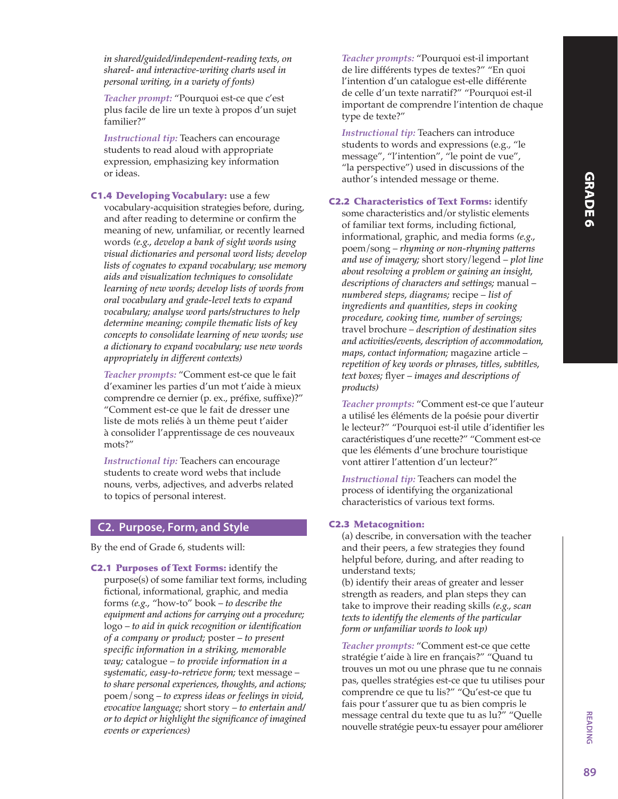*Teacher prompt:* "Pourquoi est-ce que c'est plus facile de lire un texte à propos d'un sujet familier?"

*Instructional tip:* Teachers can encourage students to read aloud with appropriate expression, emphasizing key information or ideas.

C1.4 Developing Vocabulary: use a few vocabulary-acquisition strategies before, during, and after reading to determine or confirm the meaning of new, unfamiliar, or recently learned words *(e.g., develop a bank of sight words using visual dictionaries and personal word lists; develop lists of cognates to expand vocabulary; use memory aids and visualization techniques to consolidate learning of new words; develop lists of words from oral vocabulary and grade-level texts to expand vocabulary; analyse word parts/structures to help determine meaning; compile thematic lists of key concepts to consolidate learning of new words; use a dictionary to expand vocabulary; use new words appropriately in different contexts)*

*Teacher prompts:* "Comment est-ce que le fait d'examiner les parties d'un mot t'aide à mieux comprendre ce dernier (p. ex., préfixe, suffixe)?" "Comment est-ce que le fait de dresser une liste de mots reliés à un thème peut t'aider à consolider l'apprentissage de ces nouveaux mots?"

*Instructional tip:* Teachers can encourage students to create word webs that include nouns, verbs, adjectives, and adverbs related to topics of personal interest.

### C2. Purpose, Form, and Style

By the end of Grade 6, students will:

C2.1 Purposes of Text Forms: identify the purpose(s) of some familiar text forms, including fictional, informational, graphic, and media forms *(e.g.,* "how-to" book – *to describe the equipment and actions for carrying out a procedure;* logo – *to aid in quick recognition or identification of a company or product;* poster – *to present specific information in a striking, memorable way;* catalogue – *to provide information in a systematic, easy-to-retrieve form;* text message – *to share personal experiences, thoughts, and actions;* poem/song – *to express ideas or feelings in vivid, evocative language;* short story – *to entertain and/ or to depict or highlight the significance of imagined events or experiences)*

*Teacher prompts:* "Pourquoi est-il important de lire différents types de textes?" "En quoi l'intention d'un catalogue est-elle différente de celle d'un texte narratif?" "Pourquoi est-il important de comprendre l'intention de chaque type de texte?"

*Instructional tip:* Teachers can introduce students to words and expressions (e.g., "le message", "l'intention", "le point de vue", "la perspective") used in discussions of the author's intended message or theme.

C2.2 Characteristics of Text Forms: identify some characteristics and/or stylistic elements of familiar text forms, including fictional, informational, graphic, and media forms *(e.g.,* poem/song – *rhyming or non-rhyming patterns and use of imagery;* short story/legend – *plot line about resolving a problem or gaining an insight, descriptions of characters and settings;* manual – *numbered steps, diagrams;* recipe – *list of ingredients and quantities, steps in cooking procedure, cooking time, number of servings;* travel brochure – *description of destination sites and activities/events, description of accommodation, maps, contact information;* magazine article – *repetition of key words or phrases, titles, subtitles, text boxes;* flyer – *images and descriptions of products)*

*Teacher prompts:* "Comment est-ce que l'auteur a utilisé les éléments de la poésie pour divertir le lecteur?" "Pourquoi est-il utile d'identifier les caractéristiques d'une recette?" "Comment est-ce que les éléments d'une brochure touristique vont attirer l'attention d'un lecteur?"

*Instructional tip:* Teachers can model the process of identifying the organizational characteristics of various text forms.

### C2.3 Metacognition:

(a) describe, in conversation with the teacher and their peers, a few strategies they found helpful before, during, and after reading to understand texts;

(b) identify their areas of greater and lesser strength as readers, and plan steps they can take to improve their reading skills *(e.g., scan texts to identify the elements of the particular form or unfamiliar words to look up)*

*Teacher prompts:* "Comment est-ce que cette stratégie t'aide à lire en français?" "Quand tu trouves un mot ou une phrase que tu ne connais pas, quelles stratégies est-ce que tu utilises pour comprendre ce que tu lis?" "Qu'est-ce que tu fais pour t'assurer que tu as bien compris le message central du texte que tu as lu?" "Quelle nouvelle stratégie peux-tu essayer pour améliorer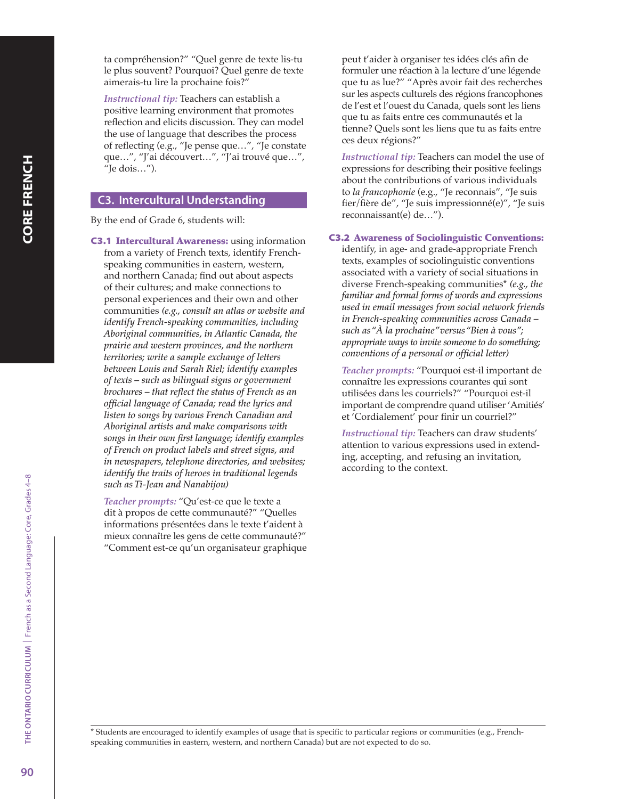ta compréhension?" "Quel genre de texte lis-tu le plus souvent? Pourquoi? Quel genre de texte aimerais-tu lire la prochaine fois?"

*Instructional tip:* Teachers can establish a positive learning environment that promotes reflection and elicits discussion. They can model the use of language that describes the process of reflecting (e.g., "Je pense que…", "Je constate que…", "J'ai découvert…", "J'ai trouvé que…", "Je dois…").

## C3. Intercultural Understanding

By the end of Grade 6, students will:

C3.1 Intercultural Awareness: using information from a variety of French texts, identify Frenchspeaking communities in eastern, western, and northern Canada; find out about aspects of their cultures; and make connections to personal experiences and their own and other communities *(e.g., consult an atlas or website and identify French-speaking communities, including Aboriginal communities, in Atlantic Canada, the prairie and western provinces, and the northern territories; write a sample exchange of letters between Louis and Sarah Riel; identify examples of texts – such as bilingual signs or government brochures – that reflect the status of French as an official language of Canada; read the lyrics and listen to songs by various French Canadian and Aboriginal artists and make comparisons with songs in their own first language; identify examples of French on product labels and street signs, and in newspapers, telephone directories, and websites; identify the traits of heroes in traditional legends such as Ti-Jean and Nanabijou)*

*Teacher prompts:* "Qu'est-ce que le texte a dit à propos de cette communauté?" "Quelles informations présentées dans le texte t'aident à mieux connaître les gens de cette communauté?" "Comment est-ce qu'un organisateur graphique peut t'aider à organiser tes idées clés afin de formuler une réaction à la lecture d'une légende que tu as lue?" "Après avoir fait des recherches sur les aspects culturels des régions francophones de l'est et l'ouest du Canada, quels sont les liens que tu as faits entre ces communautés et la tienne? Quels sont les liens que tu as faits entre ces deux régions?"

*Instructional tip:* Teachers can model the use of expressions for describing their positive feelings about the contributions of various individuals to *la francophonie* (e.g., "Je reconnais", "Je suis fier/fière de", "Je suis impressionné(e)", "Je suis reconnaissant(e) de…").

### C3.2 Awareness of Sociolinguistic Conventions:

identify, in age- and grade-appropriate French texts, examples of sociolinguistic conventions associated with a variety of social situations in diverse French-speaking communities\* *(e.g., the familiar and formal forms of words and expressions used in email messages from social network friends in French-speaking communities across Canada – such as "À la prochaine" versus "Bien à vous"; appropriate ways to invite someone to do something; conventions of a personal or official letter)*

*Teacher prompts:* "Pourquoi est-il important de connaître les expressions courantes qui sont utilisées dans les courriels?" "Pourquoi est-il important de comprendre quand utiliser 'Amitiés' et 'Cordialement' pour finir un courriel?"

*Instructional tip:* Teachers can draw students' attention to various expressions used in extending, accepting, and refusing an invitation, according to the context.

\* Students are encouraged to identify examples of usage that is specific to particular regions or communities (e.g., Frenchspeaking communities in eastern, western, and northern Canada) but are not expected to do so.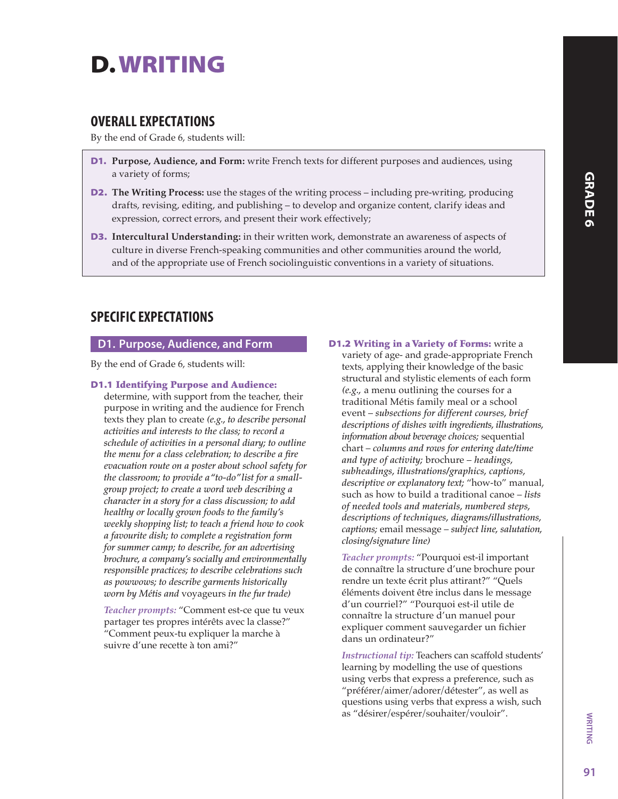# D. WRITING

# OVERALL EXPECTATIONS

By the end of Grade 6, students will:

- D1. **Purpose, Audience, and Form:** write French texts for different purposes and audiences, using a variety of forms;
- D2. **The Writing Process:** use the stages of the writing process including pre-writing, producing drafts, revising, editing, and publishing – to develop and organize content, clarify ideas and expression, correct errors, and present their work effectively;
- D3. **Intercultural Understanding:** in their written work, demonstrate an awareness of aspects of culture in diverse French-speaking communities and other communities around the world, and of the appropriate use of French sociolinguistic conventions in a variety of situations.

# SPECIFIC EXPECTATIONS

## D1. Purpose, Audience, and Form

By the end of Grade 6, students will:

## D1.1 Identifying Purpose and Audience:

determine, with support from the teacher, their purpose in writing and the audience for French texts they plan to create *(e.g., to describe personal activities and interests to the class; to record a schedule of activities in a personal diary; to outline the menu for a class celebration; to describe a fire evacuation route on a poster about school safety for the classroom; to provide a "to-do" list for a smallgroup project; to create a word web describing a character in a story for a class discussion; to add healthy or locally grown foods to the family's weekly shopping list; to teach a friend how to cook a favourite dish; to complete a registration form for summer camp; to describe, for an advertising brochure, a company's socially and environmentally responsible practices; to describe celebrations such as powwows; to describe garments historically worn by Métis and* voyageurs *in the fur trade)*

*Teacher prompts:* "Comment est-ce que tu veux partager tes propres intérêts avec la classe?" "Comment peux-tu expliquer la marche à suivre d'une recette à ton ami?"

**D1.2 Writing in a Variety of Forms:** write a variety of age- and grade-appropriate French texts, applying their knowledge of the basic structural and stylistic elements of each form *(e.g.,* a menu outlining the courses for a traditional Métis family meal or a school event – *subsections for different courses, brief descriptions of dishes with ingredients, illustrations, information about beverage choices;* sequential chart – *columns and rows for entering date/time and type of activity;* brochure – *headings, subheadings, illustrations/graphics, captions, descriptive or explanatory text;* "how-to" manual, such as how to build a traditional canoe – *lists of needed tools and materials, numbered steps, descriptions of techniques, diagrams/illustrations, captions;* email message – *subject line, salutation, closing/signature line)*

*Teacher prompts:* "Pourquoi est-il important de connaître la structure d'une brochure pour rendre un texte écrit plus attirant?" "Quels éléments doivent être inclus dans le message d'un courriel?" "Pourquoi est-il utile de connaître la structure d'un manuel pour expliquer comment sauvegarder un fichier dans un ordinateur?"

*Instructional tip:* Teachers can scaffold students' learning by modelling the use of questions using verbs that express a preference, such as "préférer/aimer/adorer/détester", as well as questions using verbs that express a wish, such as "désirer/espérer/souhaiter/vouloir".

**WRITING**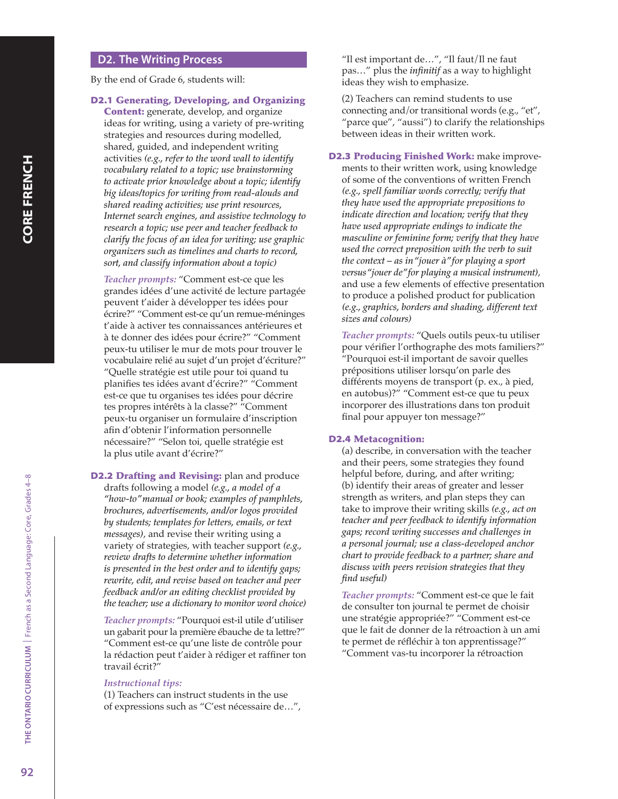### D2. The Writing Process

By the end of Grade 6, students will:

### D2.1 Generating, Developing, and Organizing

**Content:** generate, develop, and organize ideas for writing, using a variety of pre-writing strategies and resources during modelled, shared, guided, and independent writing activities *(e.g., refer to the word wall to identify vocabulary related to a topic; use brainstorming to activate prior knowledge about a topic; identify big ideas/topics for writing from read-alouds and shared reading activities; use print resources, Internet search engines, and assistive technology to research a topic; use peer and teacher feedback to clarify the focus of an idea for writing; use graphic organizers such as timelines and charts to record, sort, and classify information about a topic)*

*Teacher prompts:* "Comment est-ce que les grandes idées d'une activité de lecture partagée peuvent t'aider à développer tes idées pour écrire?" "Comment est-ce qu'un remue-méninges t'aide à activer tes connaissances antérieures et à te donner des idées pour écrire?" "Comment peux-tu utiliser le mur de mots pour trouver le vocabulaire relié au sujet d'un projet d'écriture?" "Quelle stratégie est utile pour toi quand tu planifies tes idées avant d'écrire?" "Comment est-ce que tu organises tes idées pour décrire tes propres intérêts à la classe?" "Comment peux-tu organiser un formulaire d'inscription afin d'obtenir l'information personnelle nécessaire?" "Selon toi, quelle stratégie est la plus utile avant d'écrire?"

D2.2 Drafting and Revising: plan and produce drafts following a model *(e.g., a model of a "how-to" manual or book; examples of pamphlets, brochures, advertisements, and/or logos provided by students; templates for letters, emails, or text messages)*, and revise their writing using a variety of strategies, with teacher support *(e.g., review drafts to determine whether information is presented in the best order and to identify gaps; rewrite, edit, and revise based on teacher and peer feedback and/or an editing checklist provided by the teacher; use a dictionary to monitor word choice)*

*Teacher prompts:* "Pourquoi est-il utile d'utiliser un gabarit pour la première ébauche de ta lettre?" "Comment est-ce qu'une liste de contrôle pour la rédaction peut t'aider à rédiger et raffiner ton travail écrit?"

#### *Instructional tips:*

(1) Teachers can instruct students in the use of expressions such as "C'est nécessaire de…",

"Il est important de…", "Il faut/Il ne faut pas…" plus the *infinitif* as a way to highlight ideas they wish to emphasize.

(2) Teachers can remind students to use connecting and/or transitional words (e.g., "et", "parce que", "aussi") to clarify the relationships between ideas in their written work.

D2.3 Producing Finished Work: make improvements to their written work, using knowledge of some of the conventions of written French *(e.g., spell familiar words correctly; verify that they have used the appropriate prepositions to indicate direction and location; verify that they have used appropriate endings to indicate the masculine or feminine form; verify that they have used the correct preposition with the verb to suit the context – as in "jouer à" for playing a sport versus "jouer de" for playing a musical instrument)*, and use a few elements of effective presentation to produce a polished product for publication *(e.g., graphics, borders and shading, different text sizes and colours)*

*Teacher prompts:* "Quels outils peux-tu utiliser pour vérifier l'orthographe des mots familiers?" "Pourquoi est-il important de savoir quelles prépositions utiliser lorsqu'on parle des différents moyens de transport (p. ex., à pied, en autobus)?" "Comment est-ce que tu peux incorporer des illustrations dans ton produit final pour appuyer ton message?"

#### D2.4 Metacognition:

(a) describe, in conversation with the teacher and their peers, some strategies they found helpful before, during, and after writing; (b) identify their areas of greater and lesser strength as writers, and plan steps they can take to improve their writing skills *(e.g., act on teacher and peer feedback to identify information gaps; record writing successes and challenges in a personal journal; use a class-developed anchor chart to provide feedback to a partner; share and discuss with peers revision strategies that they find useful)*

*Teacher prompts:* "Comment est-ce que le fait de consulter ton journal te permet de choisir une stratégie appropriée?" "Comment est-ce que le fait de donner de la rétroaction à un ami te permet de réfléchir à ton apprentissage?" "Comment vas-tu incorporer la rétroaction